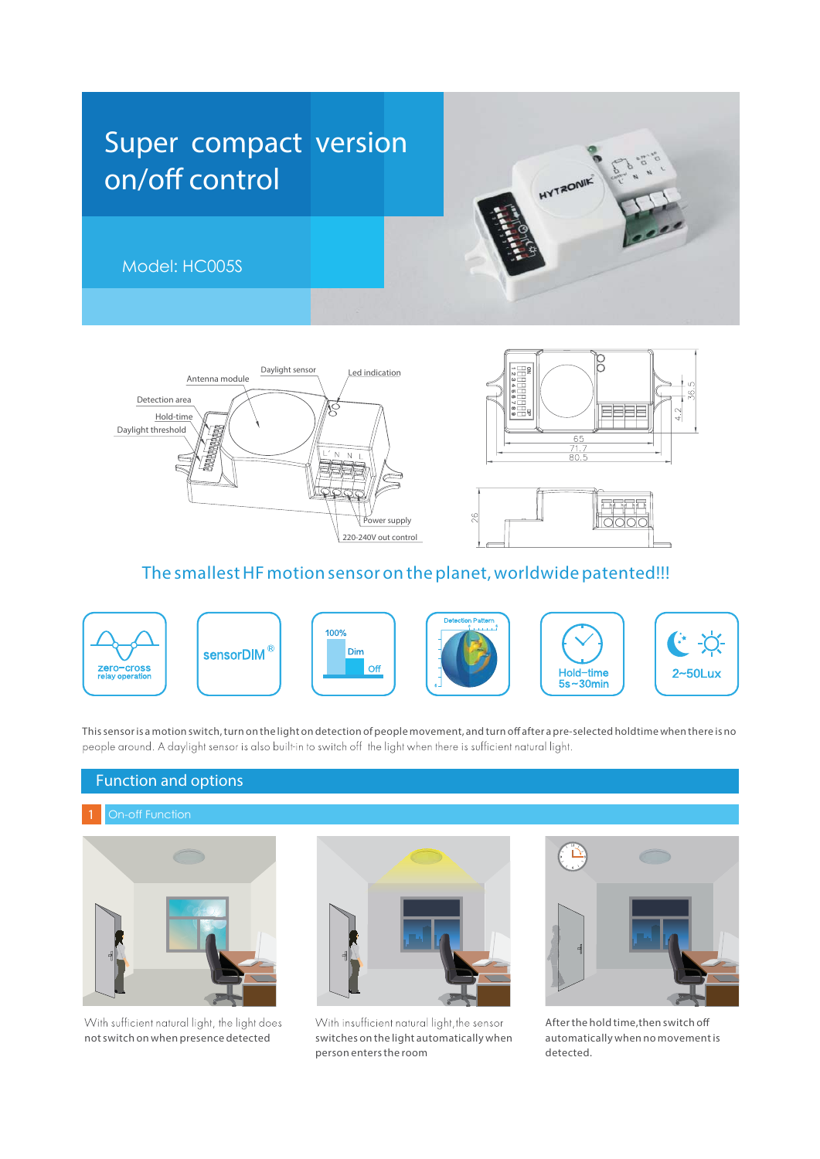







# The smallest HF motion sensor on the planet, worldwide patented!!!



This sensor is a motion switch, turn on the light on detection of people movement, and turn off after a pre-selected holdtime when there is no people around. A daylight sensor is also built-in to switch off the light when there is sufficient natural light.

# Function and options



With sufficient natural light, the light does notswitch on when presence detected



With insufficient natural light, the sensor switches on the light automatically when person entersthe room



Afterthe hold time,then switch o automatically when no movementis detected.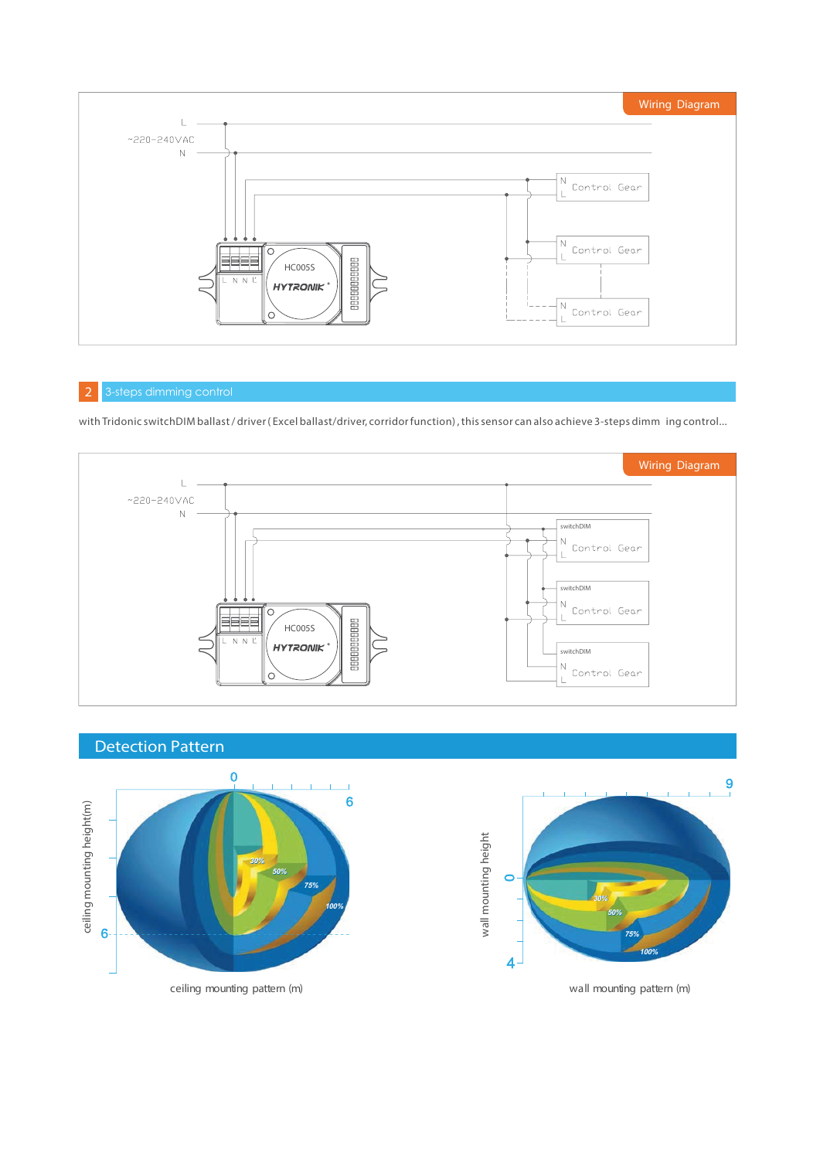

### 2 3-steps dimming control

with Tridonic switchDIM ballast / driver (Excel ballast/driver, corridor function), this sensor can also achieve 3-steps dimm ing control...



# Detection Pattern